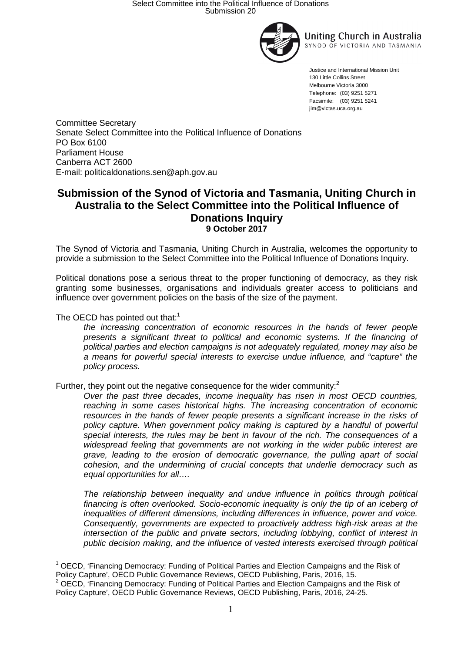



Justice and International Mission Unit 130 Little Collins Street Melbourne Victoria 3000 Telephone: (03) 9251 5271 Facsimile: (03) 9251 5241 jim@victas.uca.org.au

Committee Secretary Senate Select Committee into the Political Influence of Donations PO Box 6100 Parliament House Canberra ACT 2600 E-mail: politicaldonations.sen@aph.gov.au

# **Submission of the Synod of Victoria and Tasmania, Uniting Church in Australia to the Select Committee into the Political Influence of Donations Inquiry 9 October 2017**

The Synod of Victoria and Tasmania, Uniting Church in Australia, welcomes the opportunity to provide a submission to the Select Committee into the Political Influence of Donations Inquiry.

Political donations pose a serious threat to the proper functioning of democracy, as they risk granting some businesses, organisations and individuals greater access to politicians and influence over government policies on the basis of the size of the payment.

## The OECD has pointed out that: $1$

the increasing concentration of economic resources in the hands of fewer people presents a significant threat to political and economic systems. If the financing of political parties and election campaigns is not adequately regulated, money may also be a means for powerful special interests to exercise undue influence, and "capture" the policy process.

Further, they point out the negative consequence for the wider community:<sup>2</sup>

Over the past three decades, income inequality has risen in most OECD countries, reaching in some cases historical highs. The increasing concentration of economic resources in the hands of fewer people presents a significant increase in the risks of policy capture. When government policy making is captured by a handful of powerful special interests, the rules may be bent in favour of the rich. The consequences of a widespread feeling that governments are not working in the wider public interest are grave, leading to the erosion of democratic governance, the pulling apart of social cohesion, and the undermining of crucial concepts that underlie democracy such as equal opportunities for all….

The relationship between inequality and undue influence in politics through political financing is often overlooked. Socio-economic inequality is only the tip of an iceberg of inequalities of different dimensions, including differences in influence, power and voice. Consequently, governments are expected to proactively address high-risk areas at the intersection of the public and private sectors, including lobbying, conflict of interest in public decision making, and the influence of vested interests exercised through political

 $\overline{a}$ 1 OECD, 'Financing Democracy: Funding of Political Parties and Election Campaigns and the Risk of Policy Capture', OECD Public Governance Reviews, OECD Publishing, Paris, 2016, 15.

 $2$  OECD, 'Financing Democracy: Funding of Political Parties and Election Campaigns and the Risk of Policy Capture', OECD Public Governance Reviews, OECD Publishing, Paris, 2016, 24-25.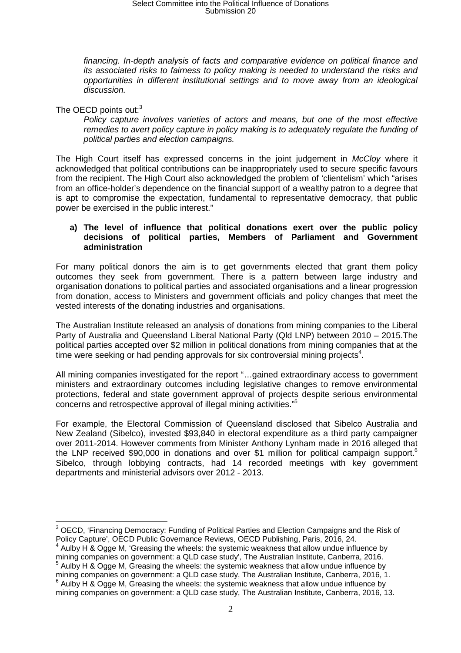# Select Committee into the Political Influence of Donations Submission 20

financing. In-depth analysis of facts and comparative evidence on political finance and its associated risks to fairness to policy making is needed to understand the risks and opportunities in different institutional settings and to move away from an ideological discussion.

The OECD points out:<sup>3</sup>

Policy capture involves varieties of actors and means, but one of the most effective remedies to avert policy capture in policy making is to adequately regulate the funding of political parties and election campaigns.

The High Court itself has expressed concerns in the joint judgement in McCloy where it acknowledged that political contributions can be inappropriately used to secure specific favours from the recipient. The High Court also acknowledged the problem of 'clientelism' which "arises from an office-holder's dependence on the financial support of a wealthy patron to a degree that is apt to compromise the expectation, fundamental to representative democracy, that public power be exercised in the public interest."

#### **a) The level of influence that political donations exert over the public policy decisions of political parties, Members of Parliament and Government administration**

For many political donors the aim is to get governments elected that grant them policy outcomes they seek from government. There is a pattern between large industry and organisation donations to political parties and associated organisations and a linear progression from donation, access to Ministers and government officials and policy changes that meet the vested interests of the donating industries and organisations.

The Australian Institute released an analysis of donations from mining companies to the Liberal Party of Australia and Queensland Liberal National Party (Qld LNP) between 2010 – 2015.The political parties accepted over \$2 million in political donations from mining companies that at the time were seeking or had pending approvals for six controversial mining projects<sup>4</sup>.

All mining companies investigated for the report "…gained extraordinary access to government ministers and extraordinary outcomes including legislative changes to remove environmental protections, federal and state government approval of projects despite serious environmental concerns and retrospective approval of illegal mining activities."<sup>5</sup>

For example, the Electoral Commission of Queensland disclosed that Sibelco Australia and New Zealand (Sibelco), invested \$93,840 in electoral expenditure as a third party campaigner over 2011-2014. However comments from Minister Anthony Lynham made in 2016 alleged that the LNP received \$90,000 in donations and over \$1 million for political campaign support.<sup>6</sup> Sibelco, through lobbying contracts, had 14 recorded meetings with key government departments and ministerial advisors over 2012 - 2013.

 $\overline{\phantom{a}}$  $3$  OECD, 'Financing Democracy: Funding of Political Parties and Election Campaigns and the Risk of Policy Capture', OECD Public Governance Reviews, OECD Publishing, Paris, 2016, 24.

<sup>4</sup> Aulby H & Ogge M, 'Greasing the wheels: the systemic weakness that allow undue influence by mining companies on government: a QLD case study', The Australian Institute, Canberra, 2016.<br><sup>5</sup> Aulbu H & Ogge M, Creasing the urbasla the austernia weakness that ellow undue influence by

Aulby H & Ogge M, Greasing the wheels: the systemic weakness that allow undue influence by mining companies on government: a QLD case study, The Australian Institute, Canberra, 2016, 1.  $6$  Aulby H & Ogge M, Greasing the wheels: the systemic weakness that allow undue influence by mining companies on government: a QLD case study, The Australian Institute, Canberra, 2016, 13.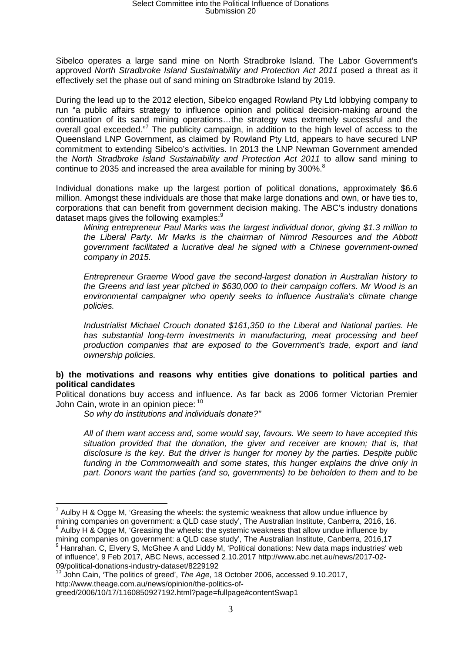Sibelco operates a large sand mine on North Stradbroke Island. The Labor Government's approved North Stradbroke Island Sustainability and Protection Act 2011 posed a threat as it effectively set the phase out of sand mining on Stradbroke Island by 2019.

During the lead up to the 2012 election, Sibelco engaged Rowland Pty Ltd lobbying company to run "a public affairs strategy to influence opinion and political decision-making around the continuation of its sand mining operations…the strategy was extremely successful and the overall goal exceeded."<sup>7</sup> The publicity campaign, in addition to the high level of access to the Queensland LNP Government, as claimed by Rowland Pty Ltd, appears to have secured LNP commitment to extending Sibelco's activities. In 2013 the LNP Newman Government amended the North Stradbroke Island Sustainability and Protection Act 2011 to allow sand mining to continue to 2035 and increased the area available for mining by 300%. $8$ 

Individual donations make up the largest portion of political donations, approximately \$6.6 million. Amongst these individuals are those that make large donations and own, or have ties to, corporations that can benefit from government decision making. The ABC's industry donations dataset maps gives the following examples:<sup>9</sup>

Mining entrepreneur Paul Marks was the largest individual donor, giving \$1.3 million to the Liberal Party. Mr Marks is the chairman of Nimrod Resources and the Abbott government facilitated a lucrative deal he signed with a Chinese government-owned company in 2015.

Entrepreneur Graeme Wood gave the second-largest donation in Australian history to the Greens and last year pitched in \$630,000 to their campaign coffers. Mr Wood is an environmental campaigner who openly seeks to influence Australia's climate change policies.

Industrialist Michael Crouch donated \$161,350 to the Liberal and National parties. He has substantial long-term investments in manufacturing, meat processing and beef production companies that are exposed to the Government's trade, export and land ownership policies.

### **b) the motivations and reasons why entities give donations to political parties and political candidates**

Political donations buy access and influence. As far back as 2006 former Victorian Premier John Cain, wrote in an opinion piece: <sup>10</sup>

So why do institutions and individuals donate?"

All of them want access and, some would say, favours. We seem to have accepted this situation provided that the donation, the giver and receiver are known; that is, that disclosure is the key. But the driver is hunger for money by the parties. Despite public funding in the Commonwealth and some states, this hunger explains the drive only in part. Donors want the parties (and so, governments) to be beholden to them and to be

John Cain, 'The politics of greed', The Age, 18 October 2006, accessed 9.10.2017, http://www.theage.com.au/news/opinion/the-politics-of-

 $\overline{a}$  $^7$  Aulby H & Ogge M, 'Greasing the wheels: the systemic weakness that allow undue influence by mining companies on government: a QLD case study', The Australian Institute, Canberra, 2016, 16.

 $8$  Aulby H & Ogge M, 'Greasing the wheels: the systemic weakness that allow undue influence by mining companies on government: a QLD case study', The Australian Institute, Canberra, 2016,17 <sup>9</sup> Hanrahan. C, Elvery S, McGhee A and Liddy M, 'Political donations: New data maps industries' web

of influence', 9 Feb 2017, ABC News, accessed 2.10.2017 http://www.abc.net.au/news/2017-02- 09/political-donations-industry-dataset/8229192

greed/2006/10/17/1160850927192.html?page=fullpage#contentSwap1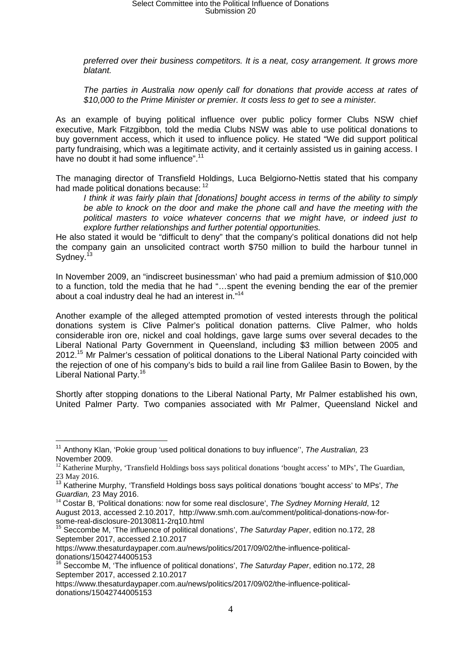preferred over their business competitors. It is a neat, cosy arrangement. It grows more blatant.

The parties in Australia now openly call for donations that provide access at rates of \$10,000 to the Prime Minister or premier. It costs less to get to see a minister.

As an example of buying political influence over public policy former Clubs NSW chief executive, Mark Fitzgibbon, told the media Clubs NSW was able to use political donations to buy government access, which it used to influence policy. He stated "We did support political party fundraising, which was a legitimate activity, and it certainly assisted us in gaining access. I have no doubt it had some influence".<sup>11</sup>

The managing director of Transfield Holdings, Luca Belgiorno-Nettis stated that his company had made political donations because: <sup>12</sup>

I think it was fairly plain that [donations] bought access in terms of the ability to simply be able to knock on the door and make the phone call and have the meeting with the political masters to voice whatever concerns that we might have, or indeed just to explore further relationships and further potential opportunities.

He also stated it would be "difficult to deny" that the company's political donations did not help the company gain an unsolicited contract worth \$750 million to build the harbour tunnel in Sydney.<sup>13</sup>

In November 2009, an "indiscreet businessman' who had paid a premium admission of \$10,000 to a function, told the media that he had "…spent the evening bending the ear of the premier about a coal industry deal he had an interest in."<sup>14</sup>

Another example of the alleged attempted promotion of vested interests through the political donations system is Clive Palmer's political donation patterns. Clive Palmer, who holds considerable iron ore, nickel and coal holdings, gave large sums over several decades to the Liberal National Party Government in Queensland, including \$3 million between 2005 and 2012.<sup>15</sup> Mr Palmer's cessation of political donations to the Liberal National Party coincided with the rejection of one of his company's bids to build a rail line from Galilee Basin to Bowen, by the Liberal National Party.<sup>16</sup>

Shortly after stopping donations to the Liberal National Party, Mr Palmer established his own, United Palmer Party. Two companies associated with Mr Palmer, Queensland Nickel and

 $\overline{\phantom{a}}$ <sup>11</sup> Anthony Klan, 'Pokie group 'used political donations to buy influence", The Australian, 23 November 2009.

<sup>&</sup>lt;sup>12</sup> Katherine Murphy, 'Transfield Holdings boss says political donations 'bought access' to MPs', The Guardian, 23 May 2016.

 $13$  Katherine Murphy, 'Transfield Holdings boss says political donations 'bought access' to MPs', The Guardian, 23 May 2016.

 $14$  Costar B, 'Political donations: now for some real disclosure', The Sydney Morning Herald, 12 August 2013, accessed 2.10.2017, http://www.smh.com.au/comment/political-donations-now-forsome-real-disclosure-20130811-2rq10.html

 $15$  Seccombe M, 'The influence of political donations', The Saturday Paper, edition no.172, 28 September 2017, accessed 2.10.2017

https://www.thesaturdaypaper.com.au/news/politics/2017/09/02/the-influence-politicaldonations/15042744005153

 $16$  Seccombe M, 'The influence of political donations', The Saturday Paper, edition no.172, 28 September 2017, accessed 2.10.2017

https://www.thesaturdaypaper.com.au/news/politics/2017/09/02/the-influence-politicaldonations/15042744005153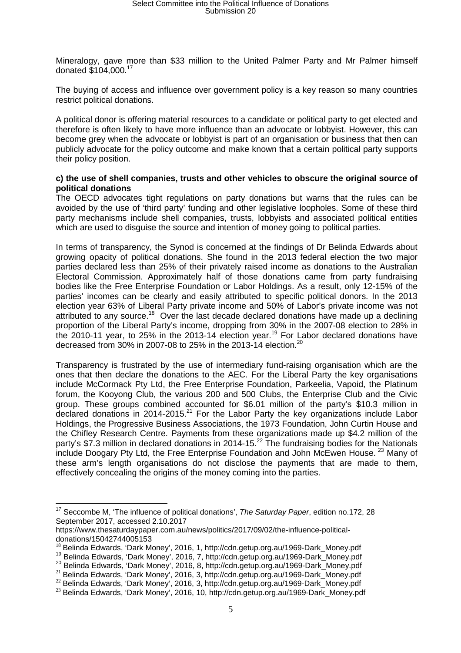Mineralogy, gave more than \$33 million to the United Palmer Party and Mr Palmer himself donated \$104,000.<sup>17</sup>

The buying of access and influence over government policy is a key reason so many countries restrict political donations.

A political donor is offering material resources to a candidate or political party to get elected and therefore is often likely to have more influence than an advocate or lobbyist. However, this can become grey when the advocate or lobbyist is part of an organisation or business that then can publicly advocate for the policy outcome and make known that a certain political party supports their policy position.

#### **c) the use of shell companies, trusts and other vehicles to obscure the original source of political donations**

The OECD advocates tight regulations on party donations but warns that the rules can be avoided by the use of 'third party' funding and other legislative loopholes. Some of these third party mechanisms include shell companies, trusts, lobbyists and associated political entities which are used to disguise the source and intention of money going to political parties.

In terms of transparency, the Synod is concerned at the findings of Dr Belinda Edwards about growing opacity of political donations. She found in the 2013 federal election the two major parties declared less than 25% of their privately raised income as donations to the Australian Electoral Commission. Approximately half of those donations came from party fundraising bodies like the Free Enterprise Foundation or Labor Holdings. As a result, only 12-15% of the parties' incomes can be clearly and easily attributed to specific political donors. In the 2013 election year 63% of Liberal Party private income and 50% of Labor's private income was not attributed to any source.<sup>18</sup> Over the last decade declared donations have made up a declining proportion of the Liberal Party's income, dropping from 30% in the 2007-08 election to 28% in the 2010-11 year, to 25% in the 2013-14 election year.<sup>19</sup> For Labor declared donations have decreased from 30% in 2007-08 to 25% in the 2013-14 election.<sup>20</sup>

Transparency is frustrated by the use of intermediary fund-raising organisation which are the ones that then declare the donations to the AEC. For the Liberal Party the key organisations include McCormack Pty Ltd, the Free Enterprise Foundation, Parkeelia, Vapoid, the Platinum forum, the Kooyong Club, the various 200 and 500 Clubs, the Enterprise Club and the Civic group. These groups combined accounted for \$6.01 million of the party's \$10.3 million in declared donations in 2014-2015.<sup>21</sup> For the Labor Party the key organizations include Labor Holdings, the Progressive Business Associations, the 1973 Foundation, John Curtin House and the Chifley Research Centre. Payments from these organizations made up \$4.2 million of the party's \$7.3 million in declared donations in 2014-15.<sup>22</sup> The fundraising bodies for the Nationals include Doogary Pty Ltd, the Free Enterprise Foundation and John McEwen House.<sup>23</sup> Many of these arm's length organisations do not disclose the payments that are made to them, effectively concealing the origins of the money coming into the parties.

 $\overline{a}$  $17$  Seccombe M, 'The influence of political donations', The Saturday Paper, edition no.172, 28 September 2017, accessed 2.10.2017

https://www.thesaturdaypaper.com.au/news/politics/2017/09/02/the-influence-politicaldonations/15042744005153

<sup>&</sup>lt;sup>18</sup> Belinda Edwards, 'Dark Money', 2016, 1, http://cdn.getup.org.au/1969-Dark Money.pdf

<sup>19</sup> Belinda Edwards, 'Dark Money', 2016, 7, http://cdn.getup.org.au/1969-Dark\_Money.pdf

<sup>&</sup>lt;sup>20</sup> Belinda Edwards, 'Dark Money', 2016, 8, http://cdn.getup.org.au/1969-Dark\_Money.pdf

<sup>&</sup>lt;sup>21</sup> Belinda Edwards, 'Dark Money', 2016, 3, http://cdn.getup.org.au/1969-Dark\_Money.pdf

 $^{22}$  Belinda Edwards, 'Dark Money', 2016, 3, http://cdn.getup.org.au/1969-Dark\_Money.pdf

<sup>&</sup>lt;sup>23</sup> Belinda Edwards, 'Dark Money', 2016, 10, http://cdn.getup.org.au/1969-Dark\_Money.pdf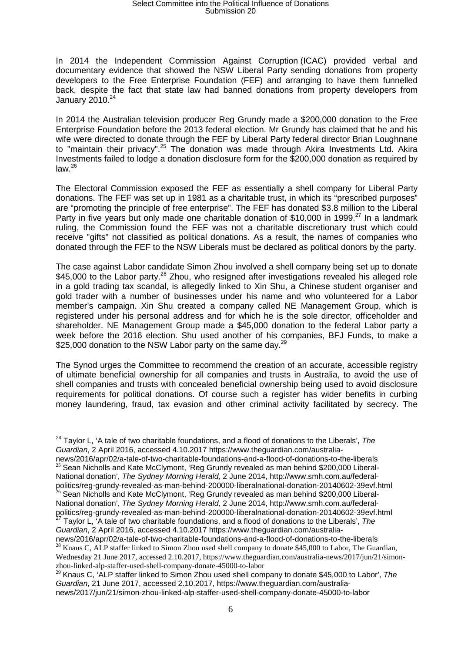# Select Committee into the Political Influence of Donations Submission 20

In 2014 the Independent Commission Against Corruption (ICAC) provided verbal and documentary evidence that showed the NSW Liberal Party sending donations from property developers to the Free Enterprise Foundation (FEF) and arranging to have them funnelled back, despite the fact that state law had banned donations from property developers from January 2010.<sup>24</sup>

In 2014 the Australian television producer Reg Grundy made a \$200,000 donation to the Free Enterprise Foundation before the 2013 federal election. Mr Grundy has claimed that he and his wife were directed to donate through the FEF by Liberal Party federal director Brian Loughnane to "maintain their privacy".<sup>25</sup> The donation was made through Akira Investments Ltd. Akira Investments failed to lodge a donation disclosure form for the \$200,000 donation as required by law.<sup>26</sup>

The Electoral Commission exposed the FEF as essentially a shell company for Liberal Party donations. The FEF was set up in 1981 as a charitable trust, in which its "prescribed purposes" are "promoting the principle of free enterprise". The FEF has donated \$3.8 million to the Liberal Party in five years but only made one charitable donation of \$10,000 in 1999.<sup>27</sup> In a landmark ruling, the Commission found the FEF was not a charitable discretionary trust which could receive "gifts" not classified as political donations. As a result, the names of companies who donated through the FEF to the NSW Liberals must be declared as political donors by the party.

The case against Labor candidate Simon Zhou involved a shell company being set up to donate \$45,000 to the Labor party.<sup>28</sup> Zhou, who resigned after investigations revealed his alleged role in a gold trading tax scandal, is allegedly linked to Xin Shu, a Chinese student organiser and gold trader with a number of businesses under his name and who volunteered for a Labor member's campaign. Xin Shu created a company called NE Management Group, which is registered under his personal address and for which he is the sole director, officeholder and shareholder. NE Management Group made a \$45,000 donation to the federal Labor party a week before the 2016 election. Shu used another of his companies, BFJ Funds, to make a \$25,000 donation to the NSW Labor party on the same day.<sup>29</sup>

The Synod urges the Committee to recommend the creation of an accurate, accessible registry of ultimate beneficial ownership for all companies and trusts in Australia, to avoid the use of shell companies and trusts with concealed beneficial ownership being used to avoid disclosure requirements for political donations. Of course such a register has wider benefits in curbing money laundering, fraud, tax evasion and other criminal activity facilitated by secrecy. The

news/2016/apr/02/a-tale-of-two-charitable-foundations-and-a-flood-of-donations-to-the-liberals  $25$  Sean Nicholls and Kate McClymont, 'Reg Grundy revealed as man behind \$200,000 Liberal-National donation', The Sydney Morning Herald, 2 June 2014, http://www.smh.com.au/federalpolitics/reg-grundy-revealed-as-man-behind-200000-liberalnational-donation-20140602-39evf.html  $^{26}$  Sean Nicholls and Kate McClymont, 'Reg Grundy revealed as man behind \$200,000 Liberal-National donation', The Sydney Morning Herald, 2 June 2014, http://www.smh.com.au/federalpolitics/reg-grundy-revealed-as-man-behind-200000-liberalnational-donation-20140602-39evf.html

Taylor L, 'A tale of two charitable foundations, and a flood of donations to the Liberals', The Guardian, 2 April 2016, accessed 4.10.2017 https://www.theguardian.com/australianews/2016/apr/02/a-tale-of-two-charitable-foundations-and-a-flood-of-donations-to-the-liberals

 $\overline{a}$  $^{24}$  Taylor L, 'A tale of two charitable foundations, and a flood of donations to the Liberals', The Guardian, 2 April 2016, accessed 4.10.2017 https://www.theguardian.com/australia-

<sup>&</sup>lt;sup>28</sup> Knaus C, ALP staffer linked to Simon Zhou used shell company to donate \$45,000 to Labor, The Guardian, Wednesday 21 June 2017, accessed 2.10.2017, https://www.theguardian.com/australia-news/2017/jun/21/simonzhou-linked-alp-staffer-used-shell-company-donate-45000-to-labor

 $29$  Knaus C, 'ALP staffer linked to Simon Zhou used shell company to donate \$45,000 to Labor', The Guardian, 21 June 2017, accessed 2.10.2017, https://www.theguardian.com/australianews/2017/jun/21/simon-zhou-linked-alp-staffer-used-shell-company-donate-45000-to-labor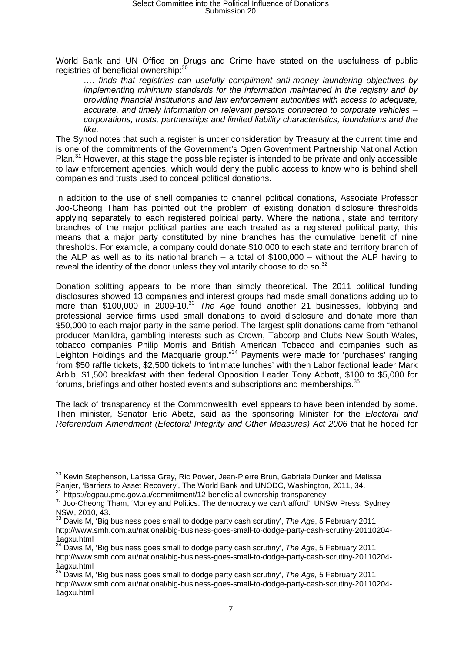World Bank and UN Office on Drugs and Crime have stated on the usefulness of public registries of beneficial ownership:<sup>30</sup>

…. finds that registries can usefully compliment anti-money laundering objectives by implementing minimum standards for the information maintained in the registry and by providing financial institutions and law enforcement authorities with access to adequate, accurate, and timely information on relevant persons connected to corporate vehicles – corporations, trusts, partnerships and limited liability characteristics, foundations and the like.

The Synod notes that such a register is under consideration by Treasury at the current time and is one of the commitments of the Government's Open Government Partnership National Action Plan. $31$  However, at this stage the possible register is intended to be private and only accessible to law enforcement agencies, which would deny the public access to know who is behind shell companies and trusts used to conceal political donations.

In addition to the use of shell companies to channel political donations, Associate Professor Joo-Cheong Tham has pointed out the problem of existing donation disclosure thresholds applying separately to each registered political party. Where the national, state and territory branches of the major political parties are each treated as a registered political party, this means that a major party constituted by nine branches has the cumulative benefit of nine thresholds. For example, a company could donate \$10,000 to each state and territory branch of the ALP as well as to its national branch – a total of  $$100,000$  – without the ALP having to reveal the identity of the donor unless they voluntarily choose to do so. $32$ 

Donation splitting appears to be more than simply theoretical. The 2011 political funding disclosures showed 13 companies and interest groups had made small donations adding up to more than \$100,000 in 2009-10.<sup>33</sup> The Age found another 21 businesses, lobbying and professional service firms used small donations to avoid disclosure and donate more than \$50,000 to each major party in the same period. The largest split donations came from "ethanol producer Manildra, gambling interests such as Crown, Tabcorp and Clubs New South Wales, tobacco companies Philip Morris and British American Tobacco and companies such as Leighton Holdings and the Macquarie group."<sup>34</sup> Payments were made for 'purchases' ranging from \$50 raffle tickets, \$2,500 tickets to 'intimate lunches' with then Labor factional leader Mark Arbib, \$1,500 breakfast with then federal Opposition Leader Tony Abbott, \$100 to \$5,000 for forums, briefings and other hosted events and subscriptions and memberships. $35$ 

The lack of transparency at the Commonwealth level appears to have been intended by some. Then minister, Senator Eric Abetz, said as the sponsoring Minister for the Electoral and Referendum Amendment (Electoral Integrity and Other Measures) Act 2006 that he hoped for

 $\overline{\phantom{a}}$  $^{30}$  Kevin Stephenson, Larissa Gray, Ric Power, Jean-Pierre Brun, Gabriele Dunker and Melissa Panjer, 'Barriers to Asset Recovery', The World Bank and UNODC, Washington, 2011, 34.

<sup>&</sup>lt;sup>31</sup> https://ogpau.pmc.gov.au/commitment/12-beneficial-ownership-transparency

<sup>&</sup>lt;sup>32</sup> Joo-Cheong Tham, 'Money and Politics. The democracy we can't afford', UNSW Press, Sydney NSW, 2010, 43.

Davis M, 'Big business goes small to dodge party cash scrutiny', The Age, 5 February 2011, http://www.smh.com.au/national/big-business-goes-small-to-dodge-party-cash-scrutiny-20110204- 1agxu.html

<sup>&</sup>lt;sup>34</sup> Davis M, 'Big business goes small to dodge party cash scrutiny', The Age, 5 February 2011, http://www.smh.com.au/national/big-business-goes-small-to-dodge-party-cash-scrutiny-20110204- 1agxu.html

Davis M, 'Big business goes small to dodge party cash scrutiny', The Age, 5 February 2011, http://www.smh.com.au/national/big-business-goes-small-to-dodge-party-cash-scrutiny-20110204- 1agxu.html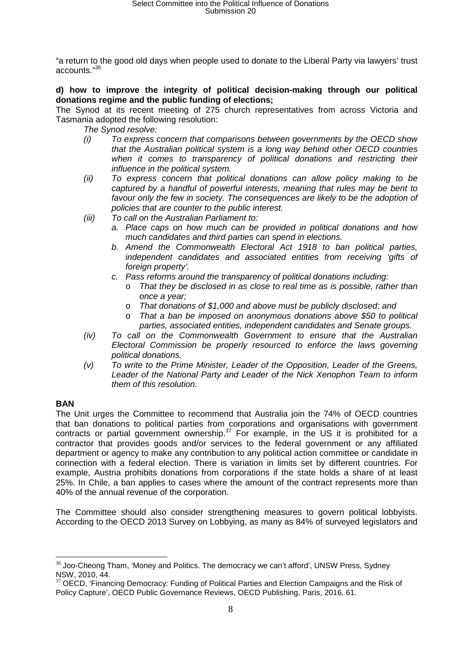"a return to the good old days when people used to donate to the Liberal Party via lawyers' trust accounts.<sup>"36</sup>

### **d) how to improve the integrity of political decision-making through our political donations regime and the public funding of elections;**

The Synod at its recent meeting of 275 church representatives from across Victoria and Tasmania adopted the following resolution:

- The Synod resolve:
- (i) To express concern that comparisons between governments by the OECD show that the Australian political system is a long way behind other OECD countries when it comes to transparency of political donations and restricting their influence in the political system.
- (ii) To express concern that political donations can allow policy making to be captured by a handful of powerful interests, meaning that rules may be bent to favour only the few in society. The consequences are likely to be the adoption of policies that are counter to the public interest.
- (iii) To call on the Australian Parliament to:
	- a. Place caps on how much can be provided in political donations and how much candidates and third parties can spend in elections.
	- b. Amend the Commonwealth Electoral Act 1918 to ban political parties, independent candidates and associated entities from receiving 'gifts of foreign property'.
	- c. Pass reforms around the transparency of political donations including:
		- o That they be disclosed in as close to real time as is possible, rather than once a year;
		- o That donations of \$1,000 and above must be publicly disclosed; and
		- $\circ$  That a ban be imposed on anonymous donations above \$50 to political parties, associated entities, independent candidates and Senate groups.
- (iv) To call on the Commonwealth Government to ensure that the Australian Electoral Commission be properly resourced to enforce the laws governing political donations.
- (v) To write to the Prime Minister, Leader of the Opposition, Leader of the Greens, Leader of the National Party and Leader of the Nick Xenophon Team to inform them of this resolution.

### **BAN**

 $\overline{a}$ 

The Unit urges the Committee to recommend that Australia join the 74% of OECD countries that ban donations to political parties from corporations and organisations with government contracts or partial government ownership.<sup>37</sup> For example, in the US it is prohibited for a contractor that provides goods and/or services to the federal government or any affiliated department or agency to make any contribution to any political action committee or candidate in connection with a federal election. There is variation in limits set by different countries. For example, Austria prohibits donations from corporations if the state holds a share of at least 25%. In Chile, a ban applies to cases where the amount of the contract represents more than 40% of the annual revenue of the corporation.

The Committee should also consider strengthening measures to govern political lobbyists. According to the OECD 2013 Survey on Lobbying, as many as 84% of surveyed legislators and

 $36$  Joo-Cheong Tham, 'Money and Politics. The democracy we can't afford', UNSW Press, Sydney NSW, 2010, 44.

 $37$  OECD, 'Financing Democracy: Funding of Political Parties and Election Campaigns and the Risk of Policy Capture', OECD Public Governance Reviews, OECD Publishing, Paris, 2016, 61.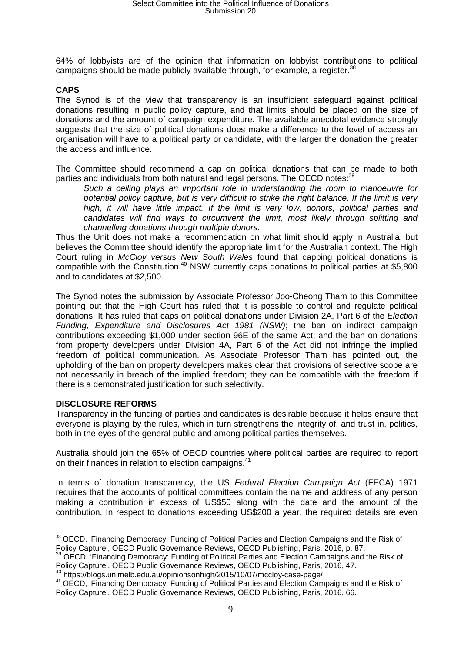64% of lobbyists are of the opinion that information on lobbyist contributions to political campaigns should be made publicly available through, for example, a register. $^{38}$ 

### **CAPS**

The Synod is of the view that transparency is an insufficient safeguard against political donations resulting in public policy capture, and that limits should be placed on the size of donations and the amount of campaign expenditure. The available anecdotal evidence strongly suggests that the size of political donations does make a difference to the level of access an organisation will have to a political party or candidate, with the larger the donation the greater the access and influence.

The Committee should recommend a cap on political donations that can be made to both parties and individuals from both natural and legal persons. The OECD notes:<sup>39</sup>

Such a ceiling plays an important role in understanding the room to manoeuvre for potential policy capture, but is very difficult to strike the right balance. If the limit is very high, it will have little impact. If the limit is very low, donors, political parties and candidates will find ways to circumvent the limit, most likely through splitting and channelling donations through multiple donors.

Thus the Unit does not make a recommendation on what limit should apply in Australia, but believes the Committee should identify the appropriate limit for the Australian context. The High Court ruling in McCloy versus New South Wales found that capping political donations is compatible with the Constitution.<sup>40</sup> NSW currently caps donations to political parties at \$5,800 and to candidates at \$2,500.

The Synod notes the submission by Associate Professor Joo-Cheong Tham to this Committee pointing out that the High Court has ruled that it is possible to control and regulate political donations. It has ruled that caps on political donations under Division 2A, Part 6 of the Election Funding, Expenditure and Disclosures Act 1981 (NSW); the ban on indirect campaign contributions exceeding \$1,000 under section 96E of the same Act; and the ban on donations from property developers under Division 4A, Part 6 of the Act did not infringe the implied freedom of political communication. As Associate Professor Tham has pointed out, the upholding of the ban on property developers makes clear that provisions of selective scope are not necessarily in breach of the implied freedom; they can be compatible with the freedom if there is a demonstrated justification for such selectivity.

### **DISCLOSURE REFORMS**

Transparency in the funding of parties and candidates is desirable because it helps ensure that everyone is playing by the rules, which in turn strengthens the integrity of, and trust in, politics, both in the eyes of the general public and among political parties themselves.

Australia should join the 65% of OECD countries where political parties are required to report on their finances in relation to election campaigns.<sup>41</sup>

In terms of donation transparency, the US Federal Election Campaign Act (FECA) 1971 requires that the accounts of political committees contain the name and address of any person making a contribution in excess of US\$50 along with the date and the amount of the contribution. In respect to donations exceeding US\$200 a year, the required details are even

 $\overline{a}$  $38$  OECD, 'Financing Democracy: Funding of Political Parties and Election Campaigns and the Risk of Policy Capture', OECD Public Governance Reviews, OECD Publishing, Paris, 2016, p. 87.

<sup>&</sup>lt;sup>39</sup> OECD. Financing Democracy: Funding of Political Parties and Election Campaigns and the Risk of Policy Capture', OECD Public Governance Reviews, OECD Publishing, Paris, 2016, 47.

<sup>40</sup> https://blogs.unimelb.edu.au/opinionsonhigh/2015/10/07/mccloy-case-page/

<sup>&</sup>lt;sup>41</sup> OECD, 'Financing Democracy: Funding of Political Parties and Election Campaigns and the Risk of Policy Capture', OECD Public Governance Reviews, OECD Publishing, Paris, 2016, 66.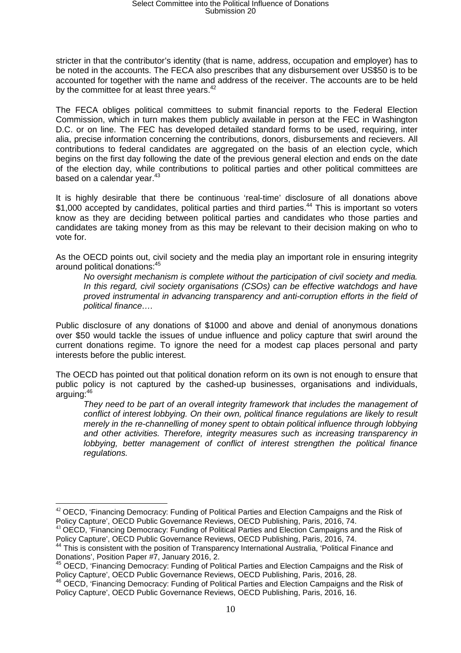stricter in that the contributor's identity (that is name, address, occupation and employer) has to be noted in the accounts. The FECA also prescribes that any disbursement over US\$50 is to be accounted for together with the name and address of the receiver. The accounts are to be held by the committee for at least three years.<sup>42</sup>

The FECA obliges political committees to submit financial reports to the Federal Election Commission, which in turn makes them publicly available in person at the FEC in Washington D.C. or on line. The FEC has developed detailed standard forms to be used, requiring, inter alia, precise information concerning the contributions, donors, disbursements and recievers. All contributions to federal candidates are aggregated on the basis of an election cycle, which begins on the first day following the date of the previous general election and ends on the date of the election day, while contributions to political parties and other political committees are based on a calendar year.<sup>43</sup>

It is highly desirable that there be continuous 'real-time' disclosure of all donations above \$1,000 accepted by candidates, political parties and third parties.<sup>44</sup> This is important so voters know as they are deciding between political parties and candidates who those parties and candidates are taking money from as this may be relevant to their decision making on who to vote for.

As the OECD points out, civil society and the media play an important role in ensuring integrity around political donations:<sup>45</sup>

No oversight mechanism is complete without the participation of civil society and media. In this regard, civil society organisations (CSOs) can be effective watchdogs and have proved instrumental in advancing transparency and anti-corruption efforts in the field of political finance….

Public disclosure of any donations of \$1000 and above and denial of anonymous donations over \$50 would tackle the issues of undue influence and policy capture that swirl around the current donations regime. To ignore the need for a modest cap places personal and party interests before the public interest.

The OECD has pointed out that political donation reform on its own is not enough to ensure that public policy is not captured by the cashed-up businesses, organisations and individuals, arguing:<sup>46</sup>

They need to be part of an overall integrity framework that includes the management of conflict of interest lobbying. On their own, political finance regulations are likely to result merely in the re-channelling of money spent to obtain political influence through lobbying and other activities. Therefore, integrity measures such as increasing transparency in lobbying, better management of conflict of interest strengthen the political finance regulations.

 $\overline{a}$ 

 $42$  OECD, 'Financing Democracy: Funding of Political Parties and Election Campaigns and the Risk of Policy Capture', OECD Public Governance Reviews, OECD Publishing, Paris, 2016, 74.

<sup>&</sup>lt;sup>43</sup> OECD, 'Financing Democracy: Funding of Political Parties and Election Campaigns and the Risk of Policy Capture', OECD Public Governance Reviews, OECD Publishing, Paris, 2016, 74.

<sup>&</sup>lt;sup>44</sup> This is consistent with the position of Transparency International Australia, 'Political Finance and Donations', Position Paper #7, January 2016, 2.

<sup>&</sup>lt;sup>45</sup> OECD, 'Financing Democracy: Funding of Political Parties and Election Campaigns and the Risk of Policy Capture', OECD Public Governance Reviews, OECD Publishing, Paris, 2016, 28.

<sup>46</sup> OECD, 'Financing Democracy: Funding of Political Parties and Election Campaigns and the Risk of Policy Capture', OECD Public Governance Reviews, OECD Publishing, Paris, 2016, 16.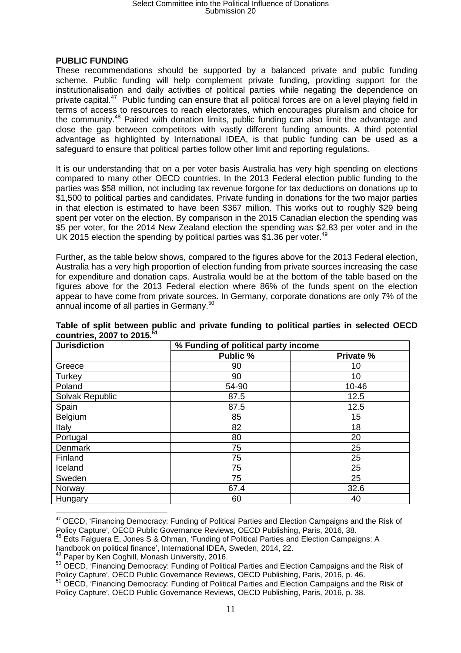# Select Committee into the Political Influence of Donations Submission 20

#### **PUBLIC FUNDING**

These recommendations should be supported by a balanced private and public funding scheme. Public funding will help complement private funding, providing support for the institutionalisation and daily activities of political parties while negating the dependence on private capital.<sup>47</sup> Public funding can ensure that all political forces are on a level playing field in terms of access to resources to reach electorates, which encourages pluralism and choice for the community.<sup>48</sup> Paired with donation limits, public funding can also limit the advantage and close the gap between competitors with vastly different funding amounts. A third potential advantage as highlighted by International IDEA, is that public funding can be used as a safeguard to ensure that political parties follow other limit and reporting regulations.

It is our understanding that on a per voter basis Australia has very high spending on elections compared to many other OECD countries. In the 2013 Federal election public funding to the parties was \$58 million, not including tax revenue forgone for tax deductions on donations up to \$1,500 to political parties and candidates. Private funding in donations for the two major parties in that election is estimated to have been \$367 million. This works out to roughly \$29 being spent per voter on the election. By comparison in the 2015 Canadian election the spending was \$5 per voter, for the 2014 New Zealand election the spending was \$2.83 per voter and in the UK 2015 election the spending by political parties was \$1.36 per voter.<sup>49</sup>

Further, as the table below shows, compared to the figures above for the 2013 Federal election, Australia has a very high proportion of election funding from private sources increasing the case for expenditure and donation caps. Australia would be at the bottom of the table based on the figures above for the 2013 Federal election where 86% of the funds spent on the election appear to have come from private sources. In Germany, corporate donations are only 7% of the annual income of all parties in Germany.<sup>50</sup>

| <b>Jurisdiction</b> | % Funding of political party income |           |
|---------------------|-------------------------------------|-----------|
|                     | Public %                            | Private % |
| Greece              | 90                                  | 10        |
| Turkey              | 90                                  | 10        |
| Poland              | 54-90                               | 10-46     |
| Solvak Republic     | 87.5                                | 12.5      |
| Spain               | 87.5                                | 12.5      |
| Belgium             | 85                                  | 15        |
| Italy               | 82                                  | 18        |
| Portugal            | 80                                  | 20        |
| Denmark             | 75                                  | 25        |
| Finland             | 75                                  | 25        |
| Iceland             | 75                                  | 25        |
| Sweden              | 75                                  | 25        |
| Norway              | 67.4                                | 32.6      |
| Hungary             | 60                                  | 40        |

**Table of split between public and private funding to political parties in selected OECD countries, 2007 to 2015.<sup>51</sup>**

 $\overline{a}$  $47$  OECD, 'Financing Democracy: Funding of Political Parties and Election Campaigns and the Risk of Policy Capture', OECD Public Governance Reviews, OECD Publishing, Paris, 2016, 38.

<sup>48</sup> Edts Falguera E, Jones S & Ohman, 'Funding of Political Parties and Election Campaigns: A

handbook on political finance', International IDEA, Sweden, 2014, 22.

<sup>49</sup> Paper by Ken Coghill, Monash University, 2016.

<sup>50</sup> OECD, 'Financing Democracy: Funding of Political Parties and Election Campaigns and the Risk of Policy Capture', OECD Public Governance Reviews, OECD Publishing, Paris, 2016, p. 46.

<sup>51</sup> OECD. 'Financing Democracy: Funding of Political Parties and Election Campaigns and the Risk of Policy Capture', OECD Public Governance Reviews, OECD Publishing, Paris, 2016, p. 38.